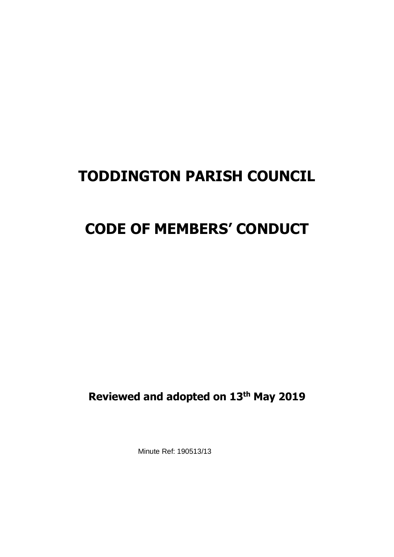# **TODDINGTON PARISH COUNCIL**

# **CODE OF MEMBERS' CONDUCT**

**Reviewed and adopted on 13th May 2019**

Minute Ref: 190513/13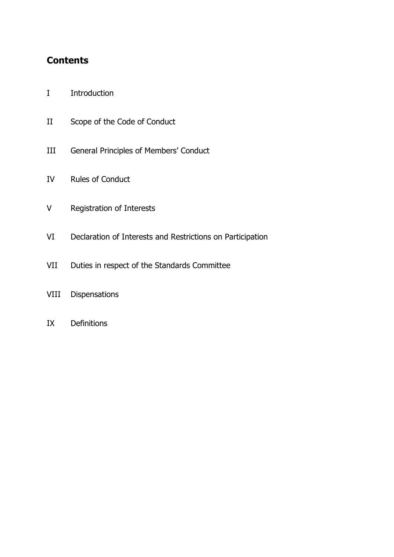## **Contents**

- I Introduction
- II Scope of the Code of Conduct
- III General Principles of Members' Conduct
- IV Rules of Conduct
- V Registration of Interests
- VI Declaration of Interests and Restrictions on Participation
- VII Duties in respect of the Standards Committee
- VIII Dispensations
- IX Definitions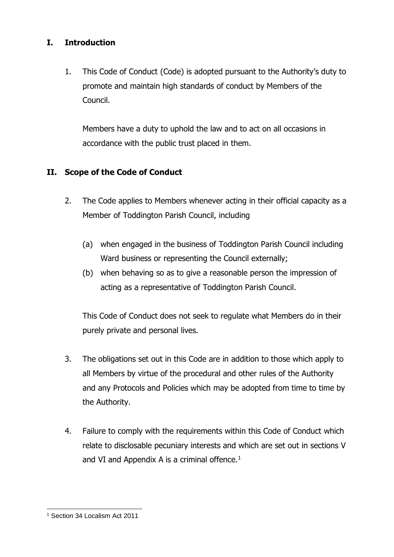## **I. Introduction**

1. This Code of Conduct (Code) is adopted pursuant to the Authority's duty to promote and maintain high standards of conduct by Members of the Council.

Members have a duty to uphold the law and to act on all occasions in accordance with the public trust placed in them.

## **II. Scope of the Code of Conduct**

- 2. The Code applies to Members whenever acting in their official capacity as a Member of Toddington Parish Council, including
	- (a) when engaged in the business of Toddington Parish Council including Ward business or representing the Council externally;
	- (b) when behaving so as to give a reasonable person the impression of acting as a representative of Toddington Parish Council.

This Code of Conduct does not seek to regulate what Members do in their purely private and personal lives.

- 3. The obligations set out in this Code are in addition to those which apply to all Members by virtue of the procedural and other rules of the Authority and any Protocols and Policies which may be adopted from time to time by the Authority.
- 4. Failure to comply with the requirements within this Code of Conduct which relate to disclosable pecuniary interests and which are set out in sections V and VI and Appendix A is a criminal offence. $1$

<sup>1</sup> Section 34 Localism Act 2011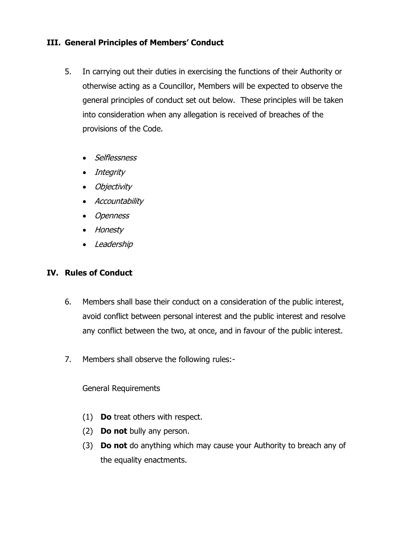#### **III. General Principles of Members' Conduct**

- 5. In carrying out their duties in exercising the functions of their Authority or otherwise acting as a Councillor, Members will be expected to observe the general principles of conduct set out below. These principles will be taken into consideration when any allegation is received of breaches of the provisions of the Code.
	- Selflessness
	- Integrity
	- Objectivity
	- Accountability
	- Openness
	- Honesty
	- Leadership

#### **IV. Rules of Conduct**

- 6. Members shall base their conduct on a consideration of the public interest, avoid conflict between personal interest and the public interest and resolve any conflict between the two, at once, and in favour of the public interest.
- 7. Members shall observe the following rules:-

#### General Requirements

- (1) **Do** treat others with respect.
- (2) **Do not** bully any person.
- (3) **Do not** do anything which may cause your Authority to breach any of the equality enactments.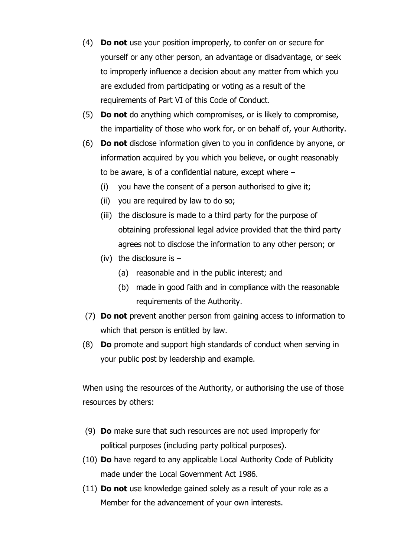- (4) **Do not** use your position improperly, to confer on or secure for yourself or any other person, an advantage or disadvantage, or seek to improperly influence a decision about any matter from which you are excluded from participating or voting as a result of the requirements of Part VI of this Code of Conduct.
- (5) **Do not** do anything which compromises, or is likely to compromise, the impartiality of those who work for, or on behalf of, your Authority.
- (6) **Do not** disclose information given to you in confidence by anyone, or information acquired by you which you believe, or ought reasonably to be aware, is of a confidential nature, except where –
	- (i) you have the consent of a person authorised to give it;
	- (ii) you are required by law to do so;
	- (iii) the disclosure is made to a third party for the purpose of obtaining professional legal advice provided that the third party agrees not to disclose the information to any other person; or
	- (iv) the disclosure is  $-$ 
		- (a) reasonable and in the public interest; and
		- (b) made in good faith and in compliance with the reasonable requirements of the Authority.
- (7) **Do not** prevent another person from gaining access to information to which that person is entitled by law.
- (8) **Do** promote and support high standards of conduct when serving in your public post by leadership and example.

When using the resources of the Authority, or authorising the use of those resources by others:

- (9) **Do** make sure that such resources are not used improperly for political purposes (including party political purposes).
- (10) **Do** have regard to any applicable Local Authority Code of Publicity made under the Local Government Act 1986.
- (11) **Do not** use knowledge gained solely as a result of your role as a Member for the advancement of your own interests.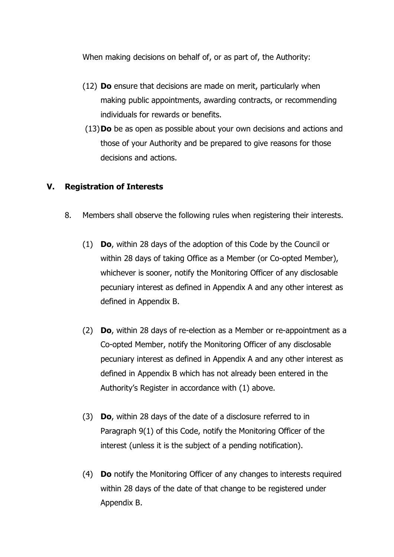When making decisions on behalf of, or as part of, the Authority:

- (12) **Do** ensure that decisions are made on merit, particularly when making public appointments, awarding contracts, or recommending individuals for rewards or benefits.
- (13)**Do** be as open as possible about your own decisions and actions and those of your Authority and be prepared to give reasons for those decisions and actions.

#### **V. Registration of Interests**

- 8. Members shall observe the following rules when registering their interests.
	- (1) **Do**, within 28 days of the adoption of this Code by the Council or within 28 days of taking Office as a Member (or Co-opted Member), whichever is sooner, notify the Monitoring Officer of any disclosable pecuniary interest as defined in Appendix A and any other interest as defined in Appendix B.
	- (2) **Do**, within 28 days of re-election as a Member or re-appointment as a Co-opted Member, notify the Monitoring Officer of any disclosable pecuniary interest as defined in Appendix A and any other interest as defined in Appendix B which has not already been entered in the Authority's Register in accordance with (1) above.
	- (3) **Do**, within 28 days of the date of a disclosure referred to in Paragraph 9(1) of this Code, notify the Monitoring Officer of the interest (unless it is the subject of a pending notification).
	- (4) **Do** notify the Monitoring Officer of any changes to interests required within 28 days of the date of that change to be registered under Appendix B.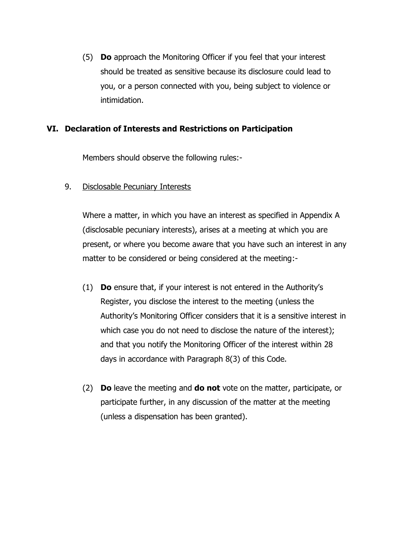(5) **Do** approach the Monitoring Officer if you feel that your interest should be treated as sensitive because its disclosure could lead to you, or a person connected with you, being subject to violence or intimidation.

#### **VI. Declaration of Interests and Restrictions on Participation**

Members should observe the following rules:-

9. Disclosable Pecuniary Interests

Where a matter, in which you have an interest as specified in Appendix A (disclosable pecuniary interests), arises at a meeting at which you are present, or where you become aware that you have such an interest in any matter to be considered or being considered at the meeting:-

- (1) **Do** ensure that, if your interest is not entered in the Authority's Register, you disclose the interest to the meeting (unless the Authority's Monitoring Officer considers that it is a sensitive interest in which case you do not need to disclose the nature of the interest); and that you notify the Monitoring Officer of the interest within 28 days in accordance with Paragraph 8(3) of this Code.
- (2) **Do** leave the meeting and **do not** vote on the matter, participate, or participate further, in any discussion of the matter at the meeting (unless a dispensation has been granted).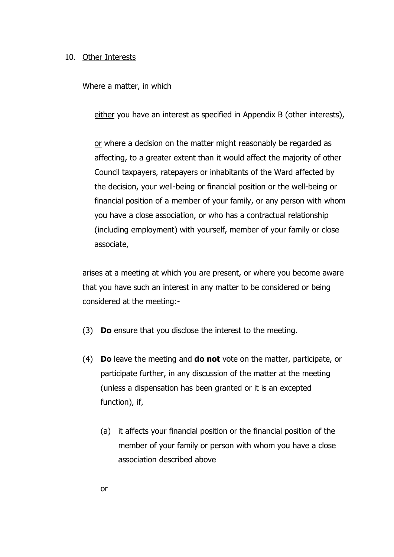#### 10. Other Interests

Where a matter, in which

either you have an interest as specified in Appendix B (other interests),

or where a decision on the matter might reasonably be regarded as affecting, to a greater extent than it would affect the majority of other Council taxpayers, ratepayers or inhabitants of the Ward affected by the decision, your well-being or financial position or the well-being or financial position of a member of your family, or any person with whom you have a close association, or who has a contractual relationship (including employment) with yourself, member of your family or close associate,

arises at a meeting at which you are present, or where you become aware that you have such an interest in any matter to be considered or being considered at the meeting:-

- (3) **Do** ensure that you disclose the interest to the meeting.
- (4) **Do** leave the meeting and **do not** vote on the matter, participate, or participate further, in any discussion of the matter at the meeting (unless a dispensation has been granted or it is an excepted function), if,
	- (a) it affects your financial position or the financial position of the member of your family or person with whom you have a close association described above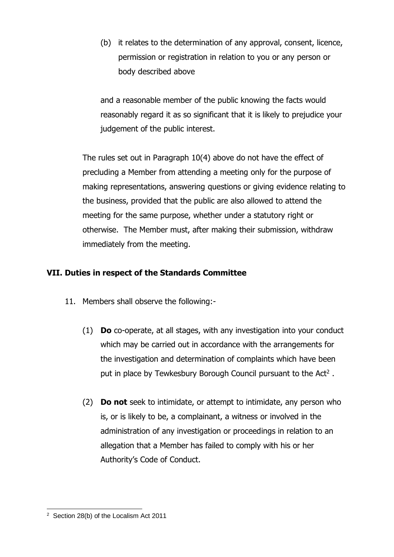(b) it relates to the determination of any approval, consent, licence, permission or registration in relation to you or any person or body described above

and a reasonable member of the public knowing the facts would reasonably regard it as so significant that it is likely to prejudice your judgement of the public interest.

The rules set out in Paragraph 10(4) above do not have the effect of precluding a Member from attending a meeting only for the purpose of making representations, answering questions or giving evidence relating to the business, provided that the public are also allowed to attend the meeting for the same purpose, whether under a statutory right or otherwise. The Member must, after making their submission, withdraw immediately from the meeting.

### **VII. Duties in respect of the Standards Committee**

- 11. Members shall observe the following:-
	- (1) **Do** co-operate, at all stages, with any investigation into your conduct which may be carried out in accordance with the arrangements for the investigation and determination of complaints which have been put in place by Tewkesbury Borough Council pursuant to the Act<sup>2</sup>.
	- (2) **Do not** seek to intimidate, or attempt to intimidate, any person who is, or is likely to be, a complainant, a witness or involved in the administration of any investigation or proceedings in relation to an allegation that a Member has failed to comply with his or her Authority's Code of Conduct.

 $2^2$  Section 28(b) of the Localism Act 2011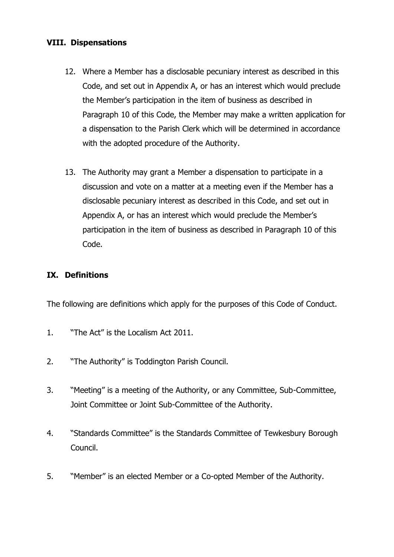#### **VIII. Dispensations**

- 12. Where a Member has a disclosable pecuniary interest as described in this Code, and set out in Appendix A, or has an interest which would preclude the Member's participation in the item of business as described in Paragraph 10 of this Code, the Member may make a written application for a dispensation to the Parish Clerk which will be determined in accordance with the adopted procedure of the Authority.
- 13. The Authority may grant a Member a dispensation to participate in a discussion and vote on a matter at a meeting even if the Member has a disclosable pecuniary interest as described in this Code, and set out in Appendix A, or has an interest which would preclude the Member's participation in the item of business as described in Paragraph 10 of this Code.

## **IX. Definitions**

The following are definitions which apply for the purposes of this Code of Conduct.

- 1. "The Act" is the Localism Act 2011.
- 2. "The Authority" is Toddington Parish Council.
- 3. "Meeting" is a meeting of the Authority, or any Committee, Sub-Committee, Joint Committee or Joint Sub-Committee of the Authority.
- 4. "Standards Committee" is the Standards Committee of Tewkesbury Borough Council.
- 5. "Member" is an elected Member or a Co-opted Member of the Authority.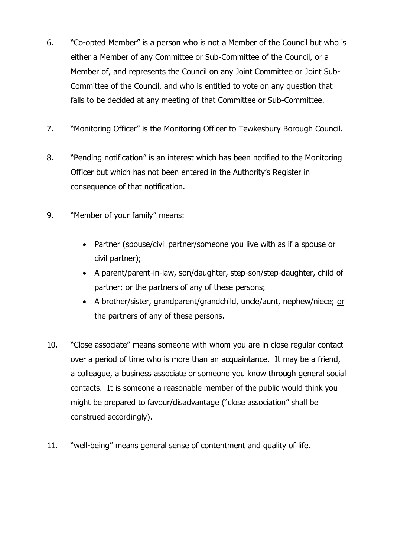- 6. "Co-opted Member" is a person who is not a Member of the Council but who is either a Member of any Committee or Sub-Committee of the Council, or a Member of, and represents the Council on any Joint Committee or Joint Sub-Committee of the Council, and who is entitled to vote on any question that falls to be decided at any meeting of that Committee or Sub-Committee.
- 7. "Monitoring Officer" is the Monitoring Officer to Tewkesbury Borough Council.
- 8. "Pending notification" is an interest which has been notified to the Monitoring Officer but which has not been entered in the Authority's Register in consequence of that notification.
- 9. "Member of your family" means:
	- Partner (spouse/civil partner/someone you live with as if a spouse or civil partner);
	- A parent/parent-in-law, son/daughter, step-son/step-daughter, child of partner; or the partners of any of these persons;
	- A brother/sister, grandparent/grandchild, uncle/aunt, nephew/niece; or the partners of any of these persons.
- 10. "Close associate" means someone with whom you are in close regular contact over a period of time who is more than an acquaintance. It may be a friend, a colleague, a business associate or someone you know through general social contacts. It is someone a reasonable member of the public would think you might be prepared to favour/disadvantage ("close association" shall be construed accordingly).
- 11. "well-being" means general sense of contentment and quality of life.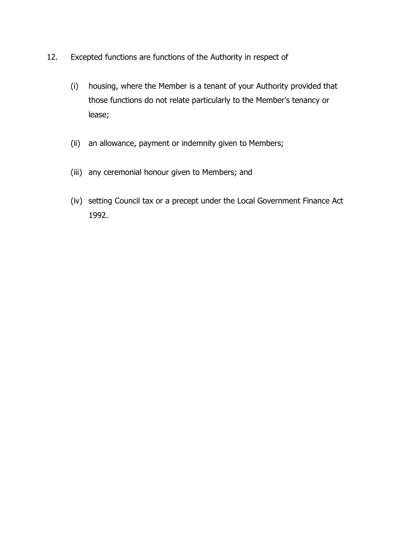- 12. Excepted functions are functions of the Authority in respect of
	- (i) housing, where the Member is a tenant of your Authority provided that those functions do not relate particularly to the Member's tenancy or lease;
	- (ii) an allowance, payment or indemnity given to Members;
	- (iii) any ceremonial honour given to Members; and
	- (iv) setting Council tax or a precept under the Local Government Finance Act 1992.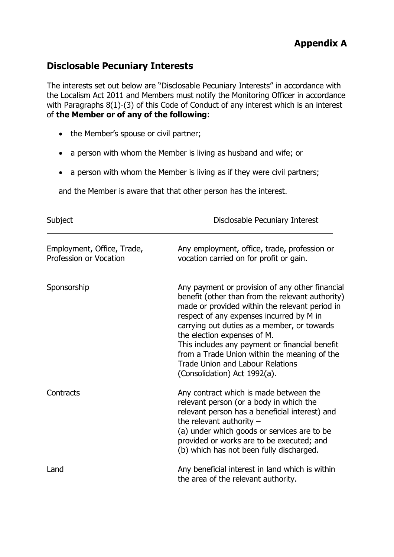## **Disclosable Pecuniary Interests**

The interests set out below are "Disclosable Pecuniary Interests" in accordance with the Localism Act 2011 and Members must notify the Monitoring Officer in accordance with Paragraphs 8(1)-(3) of this Code of Conduct of any interest which is an interest of **the Member or of any of the following**:

- the Member's spouse or civil partner;
- a person with whom the Member is living as husband and wife; or
- a person with whom the Member is living as if they were civil partners;

and the Member is aware that that other person has the interest.

| Subject                                              | Disclosable Pecuniary Interest                                                                                                                                                                                                                                                                                                                                                                                                                               |
|------------------------------------------------------|--------------------------------------------------------------------------------------------------------------------------------------------------------------------------------------------------------------------------------------------------------------------------------------------------------------------------------------------------------------------------------------------------------------------------------------------------------------|
| Employment, Office, Trade,<br>Profession or Vocation | Any employment, office, trade, profession or<br>vocation carried on for profit or gain.                                                                                                                                                                                                                                                                                                                                                                      |
| Sponsorship                                          | Any payment or provision of any other financial<br>benefit (other than from the relevant authority)<br>made or provided within the relevant period in<br>respect of any expenses incurred by M in<br>carrying out duties as a member, or towards<br>the election expenses of M.<br>This includes any payment or financial benefit<br>from a Trade Union within the meaning of the<br><b>Trade Union and Labour Relations</b><br>(Consolidation) Act 1992(a). |
| Contracts                                            | Any contract which is made between the<br>relevant person (or a body in which the<br>relevant person has a beneficial interest) and<br>the relevant authority $-$<br>(a) under which goods or services are to be<br>provided or works are to be executed; and<br>(b) which has not been fully discharged.                                                                                                                                                    |
| Land                                                 | Any beneficial interest in land which is within<br>the area of the relevant authority.                                                                                                                                                                                                                                                                                                                                                                       |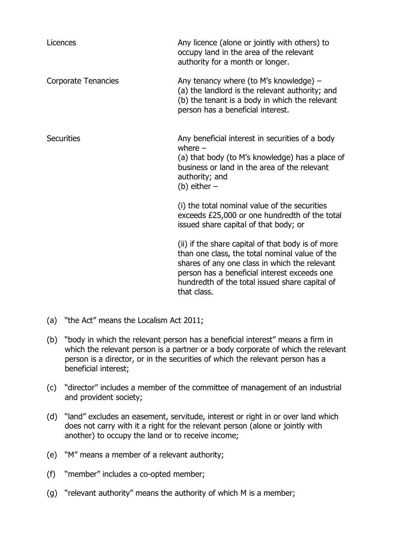| Licences                   | Any licence (alone or jointly with others) to<br>occupy land in the area of the relevant<br>authority for a month or longer.                                                                                                                                          |
|----------------------------|-----------------------------------------------------------------------------------------------------------------------------------------------------------------------------------------------------------------------------------------------------------------------|
| <b>Corporate Tenancies</b> | Any tenancy where (to M's knowledge) $-$<br>(a) the landlord is the relevant authority; and<br>(b) the tenant is a body in which the relevant<br>person has a beneficial interest.                                                                                    |
| <b>Securities</b>          | Any beneficial interest in securities of a body<br>where $-$<br>(a) that body (to M's knowledge) has a place of<br>business or land in the area of the relevant<br>authority; and<br>(b) either $-$                                                                   |
|                            | (i) the total nominal value of the securities<br>exceeds £25,000 or one hundredth of the total<br>issued share capital of that body; or                                                                                                                               |
|                            | (ii) if the share capital of that body is of more<br>than one class, the total nominal value of the<br>shares of any one class in which the relevant<br>person has a beneficial interest exceeds one<br>hundredth of the total issued share capital of<br>that class. |

- (a) "the Act" means the Localism Act 2011;
- (b) "body in which the relevant person has a beneficial interest" means a firm in which the relevant person is a partner or a body corporate of which the relevant person is a director, or in the securities of which the relevant person has a beneficial interest;
- (c) "director" includes a member of the committee of management of an industrial and provident society;
- (d) "land" excludes an easement, servitude, interest or right in or over land which does not carry with it a right for the relevant person (alone or jointly with another) to occupy the land or to receive income;
- (e) "M" means a member of a relevant authority;
- (f) "member" includes a co-opted member;
- (g) "relevant authority" means the authority of which M is a member;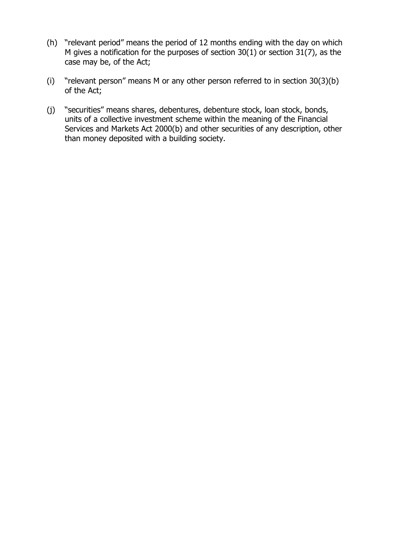- (h) "relevant period" means the period of 12 months ending with the day on which M gives a notification for the purposes of section 30(1) or section 31(7), as the case may be, of the Act;
- (i) "relevant person" means M or any other person referred to in section 30(3)(b) of the Act;
- (j) "securities" means shares, debentures, debenture stock, loan stock, bonds, units of a collective investment scheme within the meaning of the Financial Services and Markets Act 2000(b) and other securities of any description, other than money deposited with a building society.